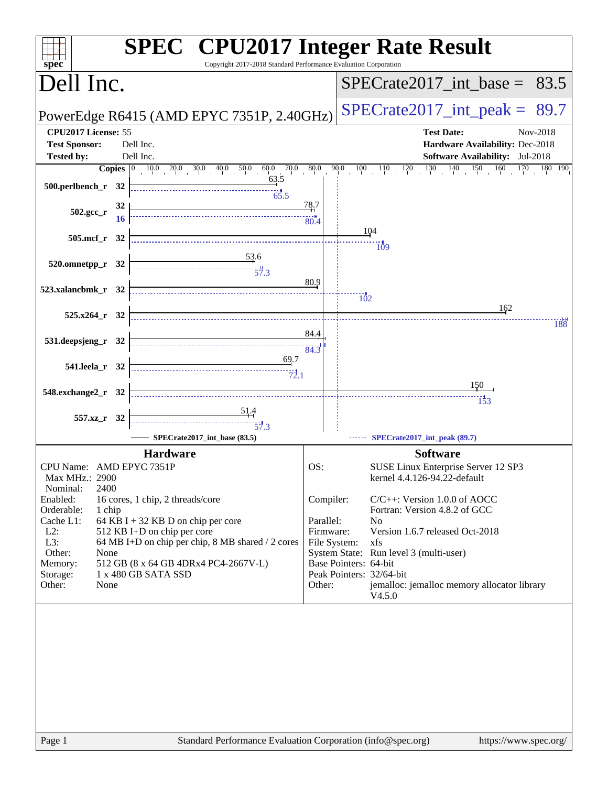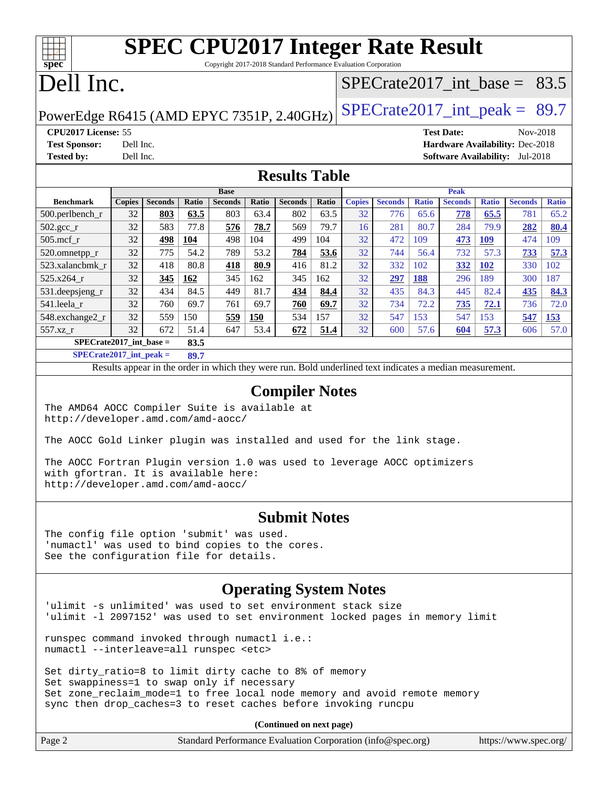# **[SPEC CPU2017 Integer Rate Result](http://www.spec.org/auto/cpu2017/Docs/result-fields.html#SPECCPU2017IntegerRateResult)**

Copyright 2017-2018 Standard Performance Evaluation Corporation

## Dell Inc.

**[spec](http://www.spec.org/)**

## SPECrate2017 int\_base =  $83.5$

PowerEdge R6415 (AMD EPYC 7351P, 2.40GHz) SPECrate  $2017$ \_int\_peak = 89.7

**[CPU2017 License:](http://www.spec.org/auto/cpu2017/Docs/result-fields.html#CPU2017License)** 55 **[Test Date:](http://www.spec.org/auto/cpu2017/Docs/result-fields.html#TestDate)** Nov-2018 **[Test Sponsor:](http://www.spec.org/auto/cpu2017/Docs/result-fields.html#TestSponsor)** Dell Inc. **[Hardware Availability:](http://www.spec.org/auto/cpu2017/Docs/result-fields.html#HardwareAvailability)** Dec-2018 **[Tested by:](http://www.spec.org/auto/cpu2017/Docs/result-fields.html#Testedby)** Dell Inc. **[Software Availability:](http://www.spec.org/auto/cpu2017/Docs/result-fields.html#SoftwareAvailability)** Jul-2018

### **[Results Table](http://www.spec.org/auto/cpu2017/Docs/result-fields.html#ResultsTable)**

|                                   | <b>Base</b>   |                |       |                |       |                | <b>Peak</b>  |               |                |              |                |              |                |              |
|-----------------------------------|---------------|----------------|-------|----------------|-------|----------------|--------------|---------------|----------------|--------------|----------------|--------------|----------------|--------------|
| <b>Benchmark</b>                  | <b>Copies</b> | <b>Seconds</b> | Ratio | <b>Seconds</b> | Ratio | <b>Seconds</b> | <b>Ratio</b> | <b>Copies</b> | <b>Seconds</b> | <b>Ratio</b> | <b>Seconds</b> | <b>Ratio</b> | <b>Seconds</b> | <b>Ratio</b> |
| $500.$ perlbench_r                | 32            | 803            | 63.5  | 803            | 63.4  | 802            | 63.5         | 32            | 776            | 65.6         | 778            | 65.5         | 781            | 65.2         |
| $502.\text{sec}$                  | 32            | 583            | 77.8  | 576            | 78.7  | 569            | 79.7         | 16            | 281            | 80.7         | 284            | 79.9         | 282            | 80.4         |
| $505$ .mcf r                      | 32            | 498            | 104   | 498            | 104   | 499            | 104          | 32            | 472            | 109          | 473            | 109          | 474            | 109          |
| 520.omnetpp_r                     | 32            | 775            | 54.2  | 789            | 53.2  | 784            | 53.6         | 32            | 744            | 56.4         | 732            | 57.3         | 733            | 57.3         |
| 523.xalancbmk r                   | 32            | 418            | 80.8  | 418            | 80.9  | 416            | 81.2         | 32            | 332            | 102          | 332            | <b>102</b>   | 330            | 102          |
| $525.x264$ r                      | 32            | 345            | 162   | 345            | 162   | 345            | 162          | 32            | 297            | <u>188</u>   | 296            | 189          | 300            | 187          |
| 531.deepsjeng_r                   | 32            | 434            | 84.5  | 449            | 81.7  | 434            | 84.4         | 32            | 435            | 84.3         | 445            | 82.4         | 435            | 84.3         |
| 541.leela r                       | 32            | 760            | 69.7  | 761            | 69.7  | 760            | 69.7         | 32            | 734            | 72.2         | 735            | 72.1         | 736            | 72.0         |
| 548.exchange2_r                   | 32            | 559            | 150   | 559            | 150   | 534            | 157          | 32            | 547            | 153          | 547            | 153          | 547            | 153          |
| 557.xz r                          | 32            | 672            | 51.4  | 647            | 53.4  | 672            | 51.4         | 32            | 600            | 57.6         | 604            | 57.3         | 606            | 57.0         |
| $SPECrate2017$ int base =<br>83.5 |               |                |       |                |       |                |              |               |                |              |                |              |                |              |

**[SPECrate2017\\_int\\_peak =](http://www.spec.org/auto/cpu2017/Docs/result-fields.html#SPECrate2017intpeak) 89.7**

Results appear in the [order in which they were run.](http://www.spec.org/auto/cpu2017/Docs/result-fields.html#RunOrder) Bold underlined text [indicates a median measurement.](http://www.spec.org/auto/cpu2017/Docs/result-fields.html#Median)

#### **[Compiler Notes](http://www.spec.org/auto/cpu2017/Docs/result-fields.html#CompilerNotes)**

The AMD64 AOCC Compiler Suite is available at <http://developer.amd.com/amd-aocc/>

The AOCC Gold Linker plugin was installed and used for the link stage.

The AOCC Fortran Plugin version 1.0 was used to leverage AOCC optimizers with gfortran. It is available here: <http://developer.amd.com/amd-aocc/>

#### **[Submit Notes](http://www.spec.org/auto/cpu2017/Docs/result-fields.html#SubmitNotes)**

The config file option 'submit' was used. 'numactl' was used to bind copies to the cores. See the configuration file for details.

### **[Operating System Notes](http://www.spec.org/auto/cpu2017/Docs/result-fields.html#OperatingSystemNotes)**

'ulimit -s unlimited' was used to set environment stack size 'ulimit -l 2097152' was used to set environment locked pages in memory limit

runspec command invoked through numactl i.e.: numactl --interleave=all runspec <etc>

Set dirty\_ratio=8 to limit dirty cache to 8% of memory Set swappiness=1 to swap only if necessary Set zone\_reclaim\_mode=1 to free local node memory and avoid remote memory sync then drop\_caches=3 to reset caches before invoking runcpu

**(Continued on next page)**

| https://www.spec.org/ |
|-----------------------|
|                       |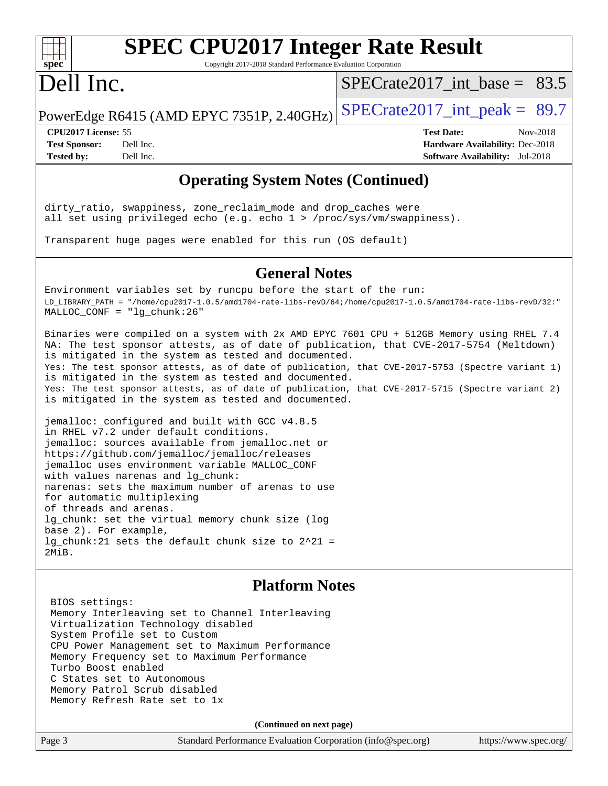# **[spec](http://www.spec.org/)**

# **[SPEC CPU2017 Integer Rate Result](http://www.spec.org/auto/cpu2017/Docs/result-fields.html#SPECCPU2017IntegerRateResult)**

Copyright 2017-2018 Standard Performance Evaluation Corporation

## Dell Inc.

 $SPECTate2017\_int\_base = 83.5$ 

PowerEdge R6415 (AMD EPYC 7351P, 2.40GHz) SPECrate  $2017$ \_int\_peak = 89.7

**[CPU2017 License:](http://www.spec.org/auto/cpu2017/Docs/result-fields.html#CPU2017License)** 55 **[Test Date:](http://www.spec.org/auto/cpu2017/Docs/result-fields.html#TestDate)** Nov-2018 **[Test Sponsor:](http://www.spec.org/auto/cpu2017/Docs/result-fields.html#TestSponsor)** Dell Inc. **[Hardware Availability:](http://www.spec.org/auto/cpu2017/Docs/result-fields.html#HardwareAvailability)** Dec-2018 **[Tested by:](http://www.spec.org/auto/cpu2017/Docs/result-fields.html#Testedby)** Dell Inc. **[Software Availability:](http://www.spec.org/auto/cpu2017/Docs/result-fields.html#SoftwareAvailability)** Jul-2018

## **[Operating System Notes \(Continued\)](http://www.spec.org/auto/cpu2017/Docs/result-fields.html#OperatingSystemNotes)**

dirty\_ratio, swappiness, zone\_reclaim\_mode and drop\_caches were all set using privileged echo (e.g. echo 1 > /proc/sys/vm/swappiness).

Transparent huge pages were enabled for this run (OS default)

### **[General Notes](http://www.spec.org/auto/cpu2017/Docs/result-fields.html#GeneralNotes)**

Environment variables set by runcpu before the start of the run: LD\_LIBRARY\_PATH = "/home/cpu2017-1.0.5/amd1704-rate-libs-revD/64;/home/cpu2017-1.0.5/amd1704-rate-libs-revD/32:" MALLOC\_CONF = "lg\_chunk:26"

Binaries were compiled on a system with 2x AMD EPYC 7601 CPU + 512GB Memory using RHEL 7.4 NA: The test sponsor attests, as of date of publication, that CVE-2017-5754 (Meltdown) is mitigated in the system as tested and documented. Yes: The test sponsor attests, as of date of publication, that CVE-2017-5753 (Spectre variant 1) is mitigated in the system as tested and documented. Yes: The test sponsor attests, as of date of publication, that CVE-2017-5715 (Spectre variant 2) is mitigated in the system as tested and documented.

jemalloc: configured and built with GCC v4.8.5 in RHEL v7.2 under default conditions. jemalloc: sources available from jemalloc.net or <https://github.com/jemalloc/jemalloc/releases> jemalloc uses environment variable MALLOC\_CONF with values narenas and lg\_chunk: narenas: sets the maximum number of arenas to use for automatic multiplexing of threads and arenas. lg\_chunk: set the virtual memory chunk size (log base 2). For example, lg\_chunk:21 sets the default chunk size to 2^21 = 2MiB.

### **[Platform Notes](http://www.spec.org/auto/cpu2017/Docs/result-fields.html#PlatformNotes)**

 BIOS settings: Memory Interleaving set to Channel Interleaving Virtualization Technology disabled System Profile set to Custom CPU Power Management set to Maximum Performance Memory Frequency set to Maximum Performance Turbo Boost enabled C States set to Autonomous Memory Patrol Scrub disabled Memory Refresh Rate set to 1x

**(Continued on next page)**

Page 3 Standard Performance Evaluation Corporation [\(info@spec.org\)](mailto:info@spec.org) <https://www.spec.org/>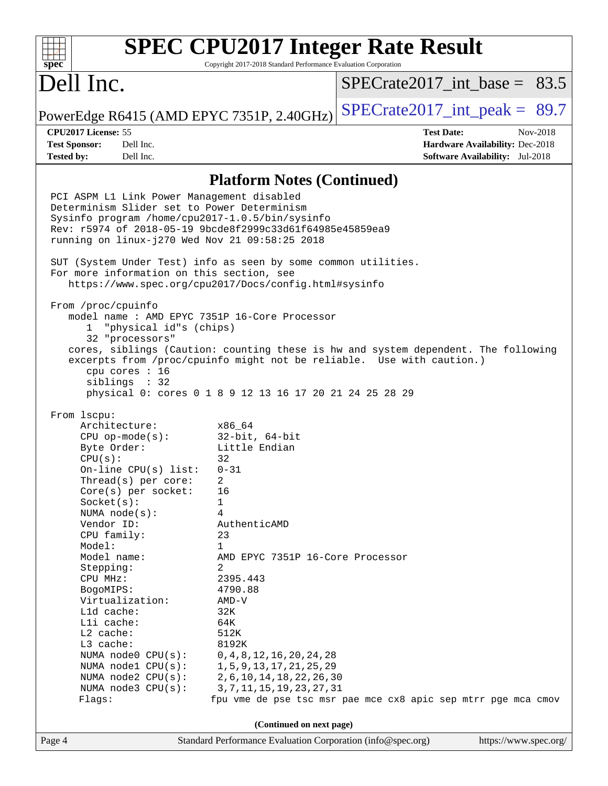#### **[SPEC CPU2017 Integer Rate Result](http://www.spec.org/auto/cpu2017/Docs/result-fields.html#SPECCPU2017IntegerRateResult)**  $+\ +$ **[spec](http://www.spec.org/)** Copyright 2017-2018 Standard Performance Evaluation Corporation Dell Inc. SPECrate2017 int\_base =  $83.5$ PowerEdge R6415 (AMD EPYC 7351P, 2.40GHz) SPECrate  $2017$ \_int\_peak = 89.7 **[CPU2017 License:](http://www.spec.org/auto/cpu2017/Docs/result-fields.html#CPU2017License)** 55 **[Test Date:](http://www.spec.org/auto/cpu2017/Docs/result-fields.html#TestDate)** Nov-2018 **[Test Sponsor:](http://www.spec.org/auto/cpu2017/Docs/result-fields.html#TestSponsor)** Dell Inc. **[Hardware Availability:](http://www.spec.org/auto/cpu2017/Docs/result-fields.html#HardwareAvailability)** Dec-2018 **[Tested by:](http://www.spec.org/auto/cpu2017/Docs/result-fields.html#Testedby)** Dell Inc. **[Software Availability:](http://www.spec.org/auto/cpu2017/Docs/result-fields.html#SoftwareAvailability)** Jul-2018 **[Platform Notes \(Continued\)](http://www.spec.org/auto/cpu2017/Docs/result-fields.html#PlatformNotes)** PCI ASPM L1 Link Power Management disabled Determinism Slider set to Power Determinism Sysinfo program /home/cpu2017-1.0.5/bin/sysinfo Rev: r5974 of 2018-05-19 9bcde8f2999c33d61f64985e45859ea9 running on linux-j270 Wed Nov 21 09:58:25 2018 SUT (System Under Test) info as seen by some common utilities. For more information on this section, see <https://www.spec.org/cpu2017/Docs/config.html#sysinfo> From /proc/cpuinfo model name : AMD EPYC 7351P 16-Core Processor 1 "physical id"s (chips) 32 "processors" cores, siblings (Caution: counting these is hw and system dependent. The following excerpts from /proc/cpuinfo might not be reliable. Use with caution.) cpu cores : 16 siblings : 32 physical 0: cores 0 1 8 9 12 13 16 17 20 21 24 25 28 29 From lscpu: Architecture: x86\_64 CPU op-mode(s): 32-bit, 64-bit Byte Order: Little Endian  $CPU(s):$  32 On-line CPU(s) list: 0-31 Thread(s) per core: 2 Core(s) per socket: 16 Socket(s): 1 NUMA node(s): 4 Vendor ID: AuthenticAMD CPU family: 23 Model: 1 Model name: AMD EPYC 7351P 16-Core Processor Stepping: 2 CPU MHz: 2395.443 BogoMIPS: 4790.88 Virtualization: AMD-V L1d cache: 32K L1i cache: 64K L2 cache: 512K L3 cache: 8192K NUMA node0 CPU(s): 0,4,8,12,16,20,24,28 NUMA node1 CPU(s): 1,5,9,13,17,21,25,29 NUMA node2 CPU(s): 2,6,10,14,18,22,26,30 NUMA node3 CPU(s): 3,7,11,15,19,23,27,31 Flags: fpu vme de pse tsc msr pae mce cx8 apic sep mtrr pge mca cmov **(Continued on next page)**Page 4 Standard Performance Evaluation Corporation [\(info@spec.org\)](mailto:info@spec.org) <https://www.spec.org/>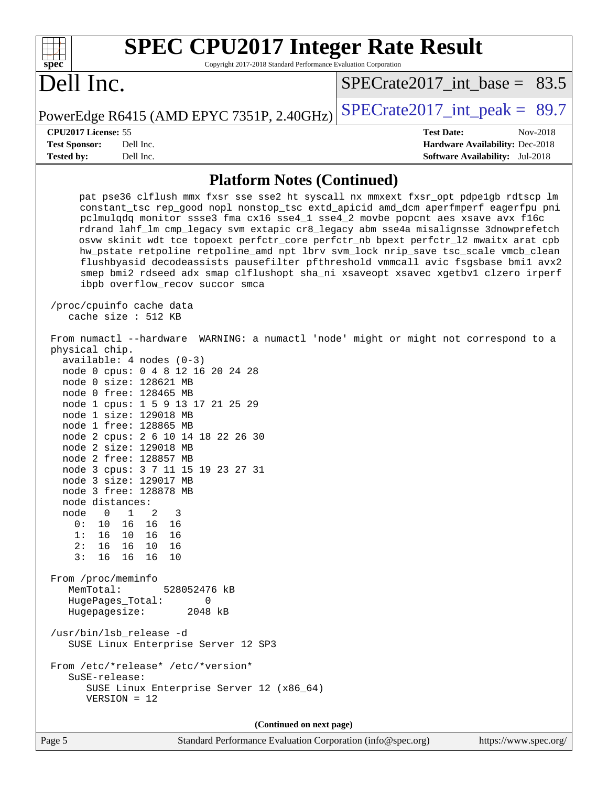| <b>SPEC CPU2017 Integer Rate Result</b><br>Copyright 2017-2018 Standard Performance Evaluation Corporation<br>spec®                                                                                                                                                                                                                                                                                                                                                                                                                                                                                                                                                                                                                                                                                 |                                                                                                     |
|-----------------------------------------------------------------------------------------------------------------------------------------------------------------------------------------------------------------------------------------------------------------------------------------------------------------------------------------------------------------------------------------------------------------------------------------------------------------------------------------------------------------------------------------------------------------------------------------------------------------------------------------------------------------------------------------------------------------------------------------------------------------------------------------------------|-----------------------------------------------------------------------------------------------------|
| Dell Inc.                                                                                                                                                                                                                                                                                                                                                                                                                                                                                                                                                                                                                                                                                                                                                                                           | $SPECTate2017\_int\_base = 83.5$                                                                    |
| PowerEdge R6415 (AMD EPYC 7351P, 2.40GHz)                                                                                                                                                                                                                                                                                                                                                                                                                                                                                                                                                                                                                                                                                                                                                           | $SPECrate2017\_int\_peak = 89.7$                                                                    |
| CPU2017 License: 55<br><b>Test Sponsor:</b><br>Dell Inc.<br><b>Tested by:</b><br>Dell Inc.                                                                                                                                                                                                                                                                                                                                                                                                                                                                                                                                                                                                                                                                                                          | <b>Test Date:</b><br>Nov-2018<br>Hardware Availability: Dec-2018<br>Software Availability: Jul-2018 |
| <b>Platform Notes (Continued)</b>                                                                                                                                                                                                                                                                                                                                                                                                                                                                                                                                                                                                                                                                                                                                                                   |                                                                                                     |
| pat pse36 clflush mmx fxsr sse sse2 ht syscall nx mmxext fxsr_opt pdpelgb rdtscp lm<br>constant_tsc rep_good nopl nonstop_tsc extd_apicid amd_dcm aperfmperf eagerfpu pni<br>pclmulqdq monitor ssse3 fma cx16 sse4_1 sse4_2 movbe popcnt aes xsave avx f16c<br>rdrand lahf_lm cmp_legacy svm extapic cr8_legacy abm sse4a misalignsse 3dnowprefetch<br>osvw skinit wdt tce topoext perfctr_core perfctr_nb bpext perfctr_12 mwaitx arat cpb<br>hw_pstate retpoline retpoline_amd npt lbrv svm_lock nrip_save tsc_scale vmcb_clean<br>flushbyasid decodeassists pausefilter pfthreshold vmmcall avic fsgsbase bmil avx2<br>smep bmi2 rdseed adx smap clflushopt sha_ni xsaveopt xsavec xgetbvl clzero irperf<br>ibpb overflow_recov succor smca<br>/proc/cpuinfo cache data<br>cache size $: 512$ KB |                                                                                                     |
| From numactl --hardware WARNING: a numactl 'node' might or might not correspond to a<br>physical chip.<br>$available: 4 nodes (0-3)$<br>node 0 cpus: 0 4 8 12 16 20 24 28<br>node 0 size: 128621 MB<br>node 0 free: 128465 MB<br>node 1 cpus: 1 5 9 13 17 21 25 29<br>node 1 size: 129018 MB<br>node 1 free: 128865 MB<br>node 2 cpus: 2 6 10 14 18 22 26 30<br>node 2 size: 129018 MB<br>node 2 free: 128857 MB<br>node 3 cpus: 3 7 11 15 19 23 27 31<br>node 3 size: 129017 MB<br>node 3 free: 128878 MB<br>node distances:<br>node 0<br>$\overline{1}$<br>2<br>- 3<br>16  16  16<br>0: 10<br>1:16<br>10 16 16<br>2:16<br>16  10  16<br>3:<br>16<br>16 16 10<br>From /proc/meminfo                                                                                                                |                                                                                                     |
| MemTotal:<br>528052476 kB<br>HugePages_Total:<br>0<br>Hugepagesize:<br>2048 kB<br>/usr/bin/lsb_release -d<br>SUSE Linux Enterprise Server 12 SP3                                                                                                                                                                                                                                                                                                                                                                                                                                                                                                                                                                                                                                                    |                                                                                                     |
| From /etc/*release* /etc/*version*<br>SuSE-release:<br>SUSE Linux Enterprise Server 12 (x86_64)<br>$VERSION = 12$                                                                                                                                                                                                                                                                                                                                                                                                                                                                                                                                                                                                                                                                                   |                                                                                                     |
| (Continued on next page)                                                                                                                                                                                                                                                                                                                                                                                                                                                                                                                                                                                                                                                                                                                                                                            |                                                                                                     |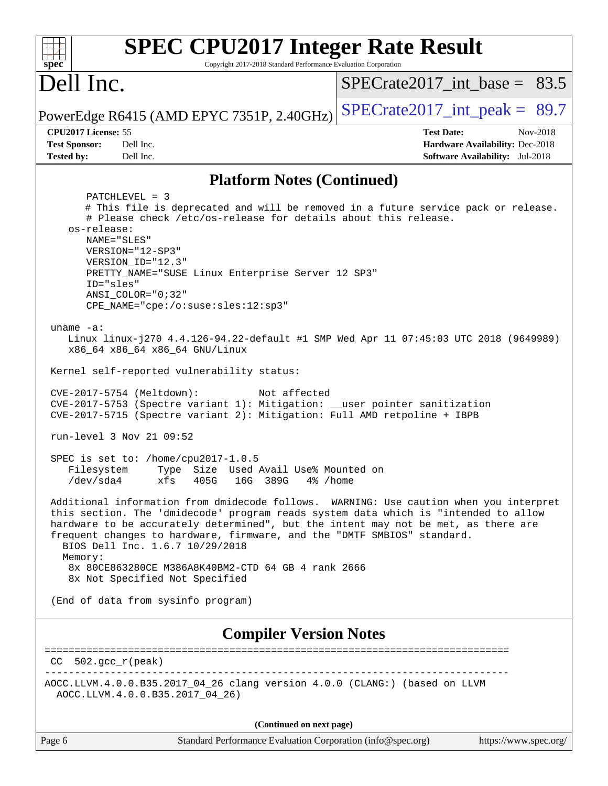| <b>SPEC CPU2017 Integer Rate Result</b><br>spec<br>Copyright 2017-2018 Standard Performance Evaluation Corporation                                                                                                                                                                                                                                                                                                                                                                                                                                                                                                                                                                                                                                                                                                                                                                                      |                                                                           |
|---------------------------------------------------------------------------------------------------------------------------------------------------------------------------------------------------------------------------------------------------------------------------------------------------------------------------------------------------------------------------------------------------------------------------------------------------------------------------------------------------------------------------------------------------------------------------------------------------------------------------------------------------------------------------------------------------------------------------------------------------------------------------------------------------------------------------------------------------------------------------------------------------------|---------------------------------------------------------------------------|
| Dell Inc.                                                                                                                                                                                                                                                                                                                                                                                                                                                                                                                                                                                                                                                                                                                                                                                                                                                                                               | $SPECTate2017\_int\_base = 83.5$                                          |
| PowerEdge R6415 (AMD EPYC 7351P, 2.40GHz)                                                                                                                                                                                                                                                                                                                                                                                                                                                                                                                                                                                                                                                                                                                                                                                                                                                               | $SPECrate2017\_int\_peak = 89.7$                                          |
| CPU2017 License: 55                                                                                                                                                                                                                                                                                                                                                                                                                                                                                                                                                                                                                                                                                                                                                                                                                                                                                     | <b>Test Date:</b><br>Nov-2018                                             |
| <b>Test Sponsor:</b><br>Dell Inc.<br><b>Tested by:</b><br>Dell Inc.                                                                                                                                                                                                                                                                                                                                                                                                                                                                                                                                                                                                                                                                                                                                                                                                                                     | Hardware Availability: Dec-2018<br><b>Software Availability:</b> Jul-2018 |
|                                                                                                                                                                                                                                                                                                                                                                                                                                                                                                                                                                                                                                                                                                                                                                                                                                                                                                         |                                                                           |
| <b>Platform Notes (Continued)</b>                                                                                                                                                                                                                                                                                                                                                                                                                                                                                                                                                                                                                                                                                                                                                                                                                                                                       |                                                                           |
| PATCHLEVEL = 3<br># This file is deprecated and will be removed in a future service pack or release.<br># Please check /etc/os-release for details about this release.<br>os-release:<br>NAME="SLES"<br>VERSION="12-SP3"<br>VERSION_ID="12.3"<br>PRETTY_NAME="SUSE Linux Enterprise Server 12 SP3"<br>ID="sles"<br>$ANSI\_COLOR = "0;32"$<br>CPE_NAME="cpe:/o:suse:sles:12:sp3"<br>uname $-a$ :<br>Linux linux-j270 4.4.126-94.22-default #1 SMP Wed Apr 11 07:45:03 UTC 2018 (9649989)<br>x86_64 x86_64 x86_64 GNU/Linux<br>Kernel self-reported vulnerability status:<br>CVE-2017-5754 (Meltdown):<br>Not affected<br>CVE-2017-5753 (Spectre variant 1): Mitigation: __user pointer sanitization<br>CVE-2017-5715 (Spectre variant 2): Mitigation: Full AMD retpoline + IBPB<br>run-level 3 Nov 21 09:52<br>SPEC is set to: /home/cpu2017-1.0.5<br>Type Size Used Avail Use% Mounted on<br>Filesystem |                                                                           |
| $/\text{dev/sda4}$<br>xfs<br>405G<br>16G 389G 4% / home                                                                                                                                                                                                                                                                                                                                                                                                                                                                                                                                                                                                                                                                                                                                                                                                                                                 |                                                                           |
| Additional information from dmidecode follows. WARNING: Use caution when you interpret<br>this section. The 'dmidecode' program reads system data which is "intended to allow<br>hardware to be accurately determined", but the intent may not be met, as there are<br>frequent changes to hardware, firmware, and the "DMTF SMBIOS" standard.<br>BIOS Dell Inc. 1.6.7 10/29/2018<br>Memory:<br>8x 80CE863280CE M386A8K40BM2-CTD 64 GB 4 rank 2666<br>8x Not Specified Not Specified                                                                                                                                                                                                                                                                                                                                                                                                                    |                                                                           |
| (End of data from sysinfo program)                                                                                                                                                                                                                                                                                                                                                                                                                                                                                                                                                                                                                                                                                                                                                                                                                                                                      |                                                                           |
| <b>Compiler Version Notes</b>                                                                                                                                                                                                                                                                                                                                                                                                                                                                                                                                                                                                                                                                                                                                                                                                                                                                           |                                                                           |
| $502.$ gcc_r(peak)<br>CC.                                                                                                                                                                                                                                                                                                                                                                                                                                                                                                                                                                                                                                                                                                                                                                                                                                                                               |                                                                           |
| AOCC.LLVM.4.0.0.B35.2017_04_26 clang version 4.0.0 (CLANG:) (based on LLVM<br>AOCC.LLVM.4.0.0.B35.2017_04_26)                                                                                                                                                                                                                                                                                                                                                                                                                                                                                                                                                                                                                                                                                                                                                                                           |                                                                           |
| (Continued on next page)                                                                                                                                                                                                                                                                                                                                                                                                                                                                                                                                                                                                                                                                                                                                                                                                                                                                                |                                                                           |

| Page 6 | Standard Performance Evaluation Corporation (info@spec.org) | https://www.spec.org/ |
|--------|-------------------------------------------------------------|-----------------------|
|        |                                                             |                       |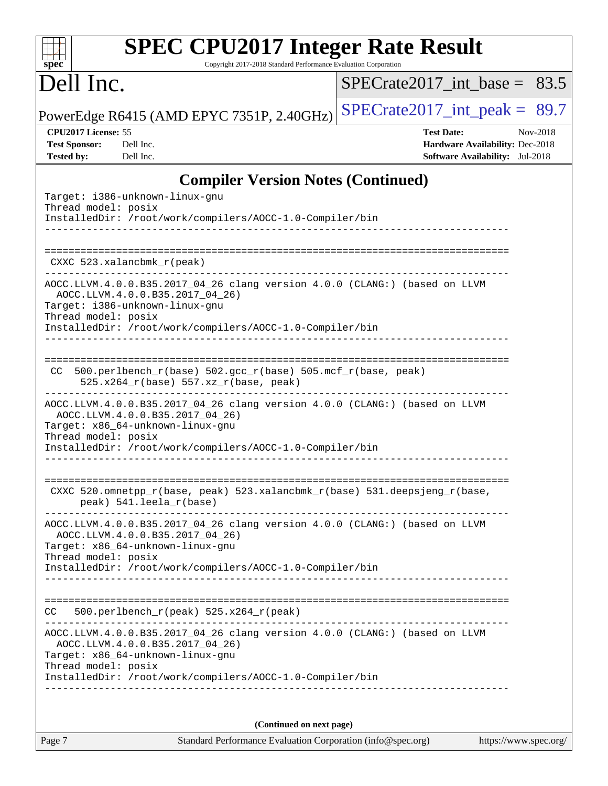| <b>SPEC CPU2017 Integer Rate Result</b> |
|-----------------------------------------|
|                                         |

Copyright 2017-2018 Standard Performance Evaluation Corporation

## Dell Inc.

**[spec](http://www.spec.org/)**

 $\color{red} \dashv \dashv \color{red} \dashv$ 

 $SPECTate2017\_int\_base = 83.5$ 

PowerEdge R6415 (AMD EPYC 7351P, 2.40GHz) [SPECrate2017\\_int\\_peak =](http://www.spec.org/auto/cpu2017/Docs/result-fields.html#SPECrate2017intpeak)  $89.7$ 

**[CPU2017 License:](http://www.spec.org/auto/cpu2017/Docs/result-fields.html#CPU2017License)** 55 **[Test Date:](http://www.spec.org/auto/cpu2017/Docs/result-fields.html#TestDate)** Nov-2018 **[Test Sponsor:](http://www.spec.org/auto/cpu2017/Docs/result-fields.html#TestSponsor)** Dell Inc. **[Hardware Availability:](http://www.spec.org/auto/cpu2017/Docs/result-fields.html#HardwareAvailability)** Dec-2018 **[Tested by:](http://www.spec.org/auto/cpu2017/Docs/result-fields.html#Testedby)** Dell Inc. **[Software Availability:](http://www.spec.org/auto/cpu2017/Docs/result-fields.html#SoftwareAvailability)** Jul-2018

## **[Compiler Version Notes \(Continued\)](http://www.spec.org/auto/cpu2017/Docs/result-fields.html#CompilerVersionNotes)**

| Target: i386-unknown-linux-gnu<br>Thread model: posix                                                                                                                                                                                                                  |
|------------------------------------------------------------------------------------------------------------------------------------------------------------------------------------------------------------------------------------------------------------------------|
| InstalledDir: /root/work/compilers/AOCC-1.0-Compiler/bin                                                                                                                                                                                                               |
| ----------------------                                                                                                                                                                                                                                                 |
| CXXC 523.xalancbmk_r(peak)                                                                                                                                                                                                                                             |
| AOCC.LLVM.4.0.0.B35.2017_04_26 clang version 4.0.0 (CLANG:) (based on LLVM<br>AOCC.LLVM.4.0.0.B35.2017 04 26)<br>Target: i386-unknown-linux-gnu<br>Thread model: posix<br>InstalledDir: /root/work/compilers/AOCC-1.0-Compiler/bin                                     |
|                                                                                                                                                                                                                                                                        |
| CC 500.perlbench_r(base) 502.gcc_r(base) 505.mcf_r(base, peak)<br>525.x264_r(base) 557.xz_r(base, peak)                                                                                                                                                                |
| ------------------------------<br>AOCC.LLVM.4.0.0.B35.2017_04_26 clang version 4.0.0 (CLANG:) (based on LLVM<br>AOCC.LLVM.4.0.0.B35.2017_04_26)<br>Target: x86_64-unknown-linux-gnu<br>Thread model: posix<br>InstalledDir: /root/work/compilers/AOCC-1.0-Compiler/bin |
| CXXC 520.omnetpp_r(base, peak) 523.xalancbmk_r(base) 531.deepsjeng_r(base,<br>peak) 541.leela_r(base)                                                                                                                                                                  |
| AOCC.LLVM.4.0.0.B35.2017_04_26 clang version 4.0.0 (CLANG:) (based on LLVM<br>AOCC.LLVM.4.0.0.B35.2017_04_26)<br>Target: x86_64-unknown-linux-gnu<br>Thread model: posix<br>InstalledDir: /root/work/compilers/AOCC-1.0-Compiler/bin                                   |
|                                                                                                                                                                                                                                                                        |
| 500.perlbench_r(peak) 525.x264_r(peak)<br>CC.                                                                                                                                                                                                                          |
| AOCC.LLVM.4.0.0.B35.2017_04_26 clang version 4.0.0 (CLANG:) (based on LLVM<br>AOCC.LLVM.4.0.0.B35.2017_04_26)<br>Target: x86_64-unknown-linux-gnu<br>Thread model: posix<br>InstalledDir: /root/work/compilers/AOCC-1.0-Compiler/bin                                   |
| (Continued on next page)                                                                                                                                                                                                                                               |
|                                                                                                                                                                                                                                                                        |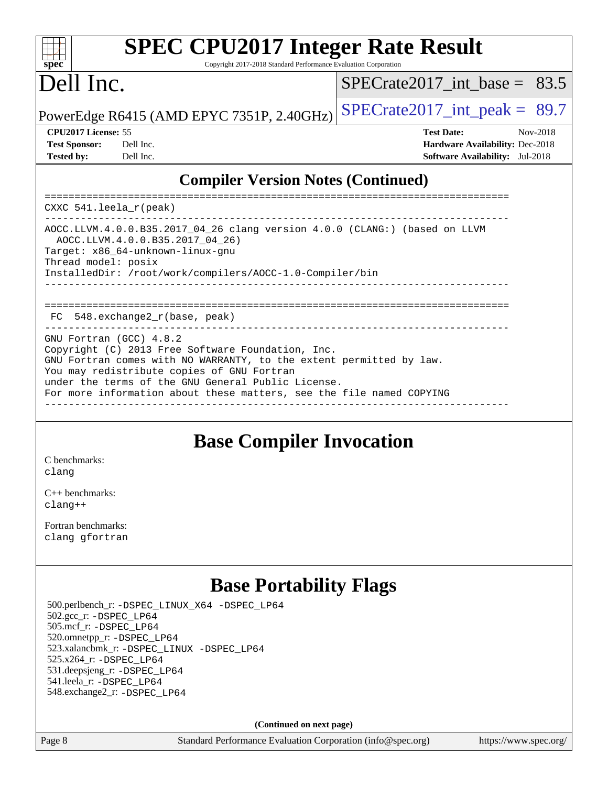#### $\pm$   $\mu$ **[spec](http://www.spec.org/)**

# **[SPEC CPU2017 Integer Rate Result](http://www.spec.org/auto/cpu2017/Docs/result-fields.html#SPECCPU2017IntegerRateResult)**

Copyright 2017-2018 Standard Performance Evaluation Corporation

## Dell Inc.

 $SPECTate2017$ \_int\_base = 83.5

PowerEdge R6415 (AMD EPYC 7351P, 2.40GHz)  $\text{SPECrate}2017\_int\_peak = 89.7$ 

| <b>Test Sponsor:</b> | Dell In |
|----------------------|---------|
| <b>Tested by:</b>    | Dell In |

**[CPU2017 License:](http://www.spec.org/auto/cpu2017/Docs/result-fields.html#CPU2017License)** 55 **[Test Date:](http://www.spec.org/auto/cpu2017/Docs/result-fields.html#TestDate)** Nov-2018 **[Test Sponsor:](http://www.spec.org/auto/cpu2017/Docs/result-fields.html#TestSponsor)** Decree Sponsor: **[Hardware Availability:](http://www.spec.org/auto/cpu2017/Docs/result-fields.html#HardwareAvailability)** Dec-2018 **[Tested by:](http://www.spec.org/auto/cpu2017/Docs/result-fields.html#Testedby) Tested by: [Software Availability:](http://www.spec.org/auto/cpu2017/Docs/result-fields.html#SoftwareAvailability)** Jul-2018

## **[Compiler Version Notes \(Continued\)](http://www.spec.org/auto/cpu2017/Docs/result-fields.html#CompilerVersionNotes)**

============================================================================== CXXC 541.leela\_r(peak) ------------------------------------------------------------------------------ AOCC.LLVM.4.0.0.B35.2017\_04\_26 clang version 4.0.0 (CLANG:) (based on LLVM AOCC.LLVM.4.0.0.B35.2017\_04\_26) Target: x86\_64-unknown-linux-gnu Thread model: posix InstalledDir: /root/work/compilers/AOCC-1.0-Compiler/bin ------------------------------------------------------------------------------ ============================================================================== FC 548.exchange2\_r(base, peak) GNU Fortran (GCC) 4.8.2 Copyright (C) 2013 Free Software Foundation, Inc. GNU Fortran comes with NO WARRANTY, to the extent permitted by law. You may redistribute copies of GNU Fortran under the terms of the GNU General Public License. For more information about these matters, see the file named COPYING ------------------------------------------------------------------------------

## **[Base Compiler Invocation](http://www.spec.org/auto/cpu2017/Docs/result-fields.html#BaseCompilerInvocation)**

[C benchmarks](http://www.spec.org/auto/cpu2017/Docs/result-fields.html#Cbenchmarks): [clang](http://www.spec.org/cpu2017/results/res2018q4/cpu2017-20181126-09830.flags.html#user_CCbase_Fclang3_a68b77bfed473bd9cdd22529af008e8306c2e3948617c8991604c1a2000ee4a73ef90dd8bc793e105fe4165a625d26dacbda4708d828ad19048918c071b363ec)

[C++ benchmarks:](http://www.spec.org/auto/cpu2017/Docs/result-fields.html#CXXbenchmarks) [clang++](http://www.spec.org/cpu2017/results/res2018q4/cpu2017-20181126-09830.flags.html#user_CXXbase_Fclang3_57a48582e5be507d19b2527b3e7d4f85d9b8669ffc9a8a0dbb9bcf949a918a58bbab411e0c4d14a3922022a3e425a90db94042683824c1806feff4324ca1000d)

[Fortran benchmarks](http://www.spec.org/auto/cpu2017/Docs/result-fields.html#Fortranbenchmarks): [clang](http://www.spec.org/cpu2017/results/res2018q4/cpu2017-20181126-09830.flags.html#user_FCbase_Fclang3_a68b77bfed473bd9cdd22529af008e8306c2e3948617c8991604c1a2000ee4a73ef90dd8bc793e105fe4165a625d26dacbda4708d828ad19048918c071b363ec) [gfortran](http://www.spec.org/cpu2017/results/res2018q4/cpu2017-20181126-09830.flags.html#user_FCbase_aocc-gfortran_128c91a56d61ddb07404721e65b8f9498c31a443dacbd3b7f212891090eca86e2d099b520f75b99e9e8ac4fdec01f4d15f0b65e47123ec4c42b0759045731a1f)

## **[Base Portability Flags](http://www.spec.org/auto/cpu2017/Docs/result-fields.html#BasePortabilityFlags)**

 500.perlbench\_r: [-DSPEC\\_LINUX\\_X64](http://www.spec.org/cpu2017/results/res2018q4/cpu2017-20181126-09830.flags.html#b500.perlbench_r_basePORTABILITY_DSPEC_LINUX_X64) [-DSPEC\\_LP64](http://www.spec.org/cpu2017/results/res2018q4/cpu2017-20181126-09830.flags.html#b500.perlbench_r_baseEXTRA_PORTABILITY_DSPEC_LP64) 502.gcc\_r: [-DSPEC\\_LP64](http://www.spec.org/cpu2017/results/res2018q4/cpu2017-20181126-09830.flags.html#suite_baseEXTRA_PORTABILITY502_gcc_r_DSPEC_LP64) 505.mcf\_r: [-DSPEC\\_LP64](http://www.spec.org/cpu2017/results/res2018q4/cpu2017-20181126-09830.flags.html#suite_baseEXTRA_PORTABILITY505_mcf_r_DSPEC_LP64) 520.omnetpp\_r: [-DSPEC\\_LP64](http://www.spec.org/cpu2017/results/res2018q4/cpu2017-20181126-09830.flags.html#suite_baseEXTRA_PORTABILITY520_omnetpp_r_DSPEC_LP64) 523.xalancbmk\_r: [-DSPEC\\_LINUX](http://www.spec.org/cpu2017/results/res2018q4/cpu2017-20181126-09830.flags.html#b523.xalancbmk_r_basePORTABILITY_DSPEC_LINUX) [-DSPEC\\_LP64](http://www.spec.org/cpu2017/results/res2018q4/cpu2017-20181126-09830.flags.html#suite_baseEXTRA_PORTABILITY523_xalancbmk_r_DSPEC_LP64) 525.x264\_r: [-DSPEC\\_LP64](http://www.spec.org/cpu2017/results/res2018q4/cpu2017-20181126-09830.flags.html#suite_baseEXTRA_PORTABILITY525_x264_r_DSPEC_LP64) 531.deepsjeng\_r: [-DSPEC\\_LP64](http://www.spec.org/cpu2017/results/res2018q4/cpu2017-20181126-09830.flags.html#suite_baseEXTRA_PORTABILITY531_deepsjeng_r_DSPEC_LP64) 541.leela\_r: [-DSPEC\\_LP64](http://www.spec.org/cpu2017/results/res2018q4/cpu2017-20181126-09830.flags.html#suite_baseEXTRA_PORTABILITY541_leela_r_DSPEC_LP64) 548.exchange2\_r: [-DSPEC\\_LP64](http://www.spec.org/cpu2017/results/res2018q4/cpu2017-20181126-09830.flags.html#suite_baseEXTRA_PORTABILITY548_exchange2_r_DSPEC_LP64)

**(Continued on next page)**

Page 8 Standard Performance Evaluation Corporation [\(info@spec.org\)](mailto:info@spec.org) <https://www.spec.org/>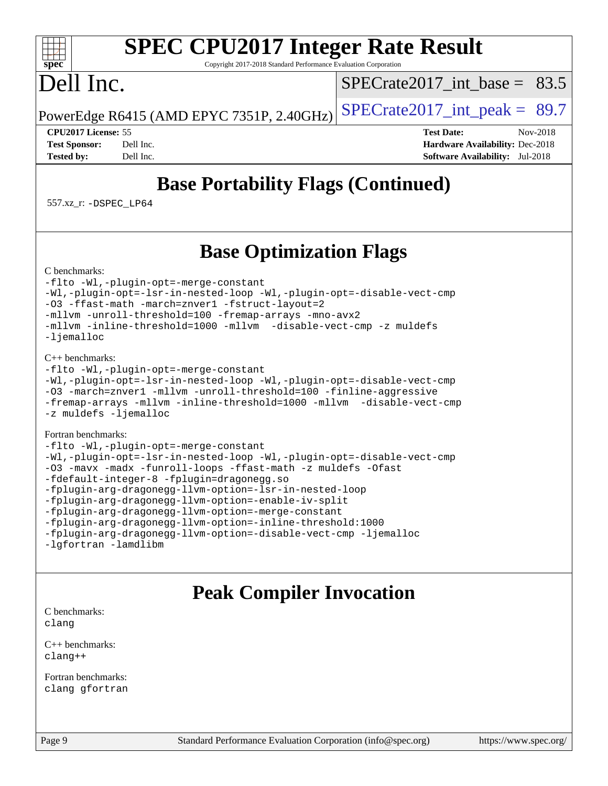#### $+\ +$ **[spec](http://www.spec.org/)**

# **[SPEC CPU2017 Integer Rate Result](http://www.spec.org/auto/cpu2017/Docs/result-fields.html#SPECCPU2017IntegerRateResult)**

Copyright 2017-2018 Standard Performance Evaluation Corporation

## Dell Inc.

SPECrate2017 int\_base =  $83.5$ 

PowerEdge R6415 (AMD EPYC 7351P, 2.40GHz)  $\left|$  [SPECrate2017\\_int\\_peak =](http://www.spec.org/auto/cpu2017/Docs/result-fields.html#SPECrate2017intpeak) 89.7

**[CPU2017 License:](http://www.spec.org/auto/cpu2017/Docs/result-fields.html#CPU2017License)** 55 **[Test Date:](http://www.spec.org/auto/cpu2017/Docs/result-fields.html#TestDate)** Nov-2018 **[Test Sponsor:](http://www.spec.org/auto/cpu2017/Docs/result-fields.html#TestSponsor)** Dell Inc. **[Hardware Availability:](http://www.spec.org/auto/cpu2017/Docs/result-fields.html#HardwareAvailability)** Dec-2018 **[Tested by:](http://www.spec.org/auto/cpu2017/Docs/result-fields.html#Testedby)** Dell Inc. **[Software Availability:](http://www.spec.org/auto/cpu2017/Docs/result-fields.html#SoftwareAvailability)** Jul-2018

## **[Base Portability Flags \(Continued\)](http://www.spec.org/auto/cpu2017/Docs/result-fields.html#BasePortabilityFlags)**

557.xz\_r: [-DSPEC\\_LP64](http://www.spec.org/cpu2017/results/res2018q4/cpu2017-20181126-09830.flags.html#suite_baseEXTRA_PORTABILITY557_xz_r_DSPEC_LP64)

## **[Base Optimization Flags](http://www.spec.org/auto/cpu2017/Docs/result-fields.html#BaseOptimizationFlags)**

[C benchmarks](http://www.spec.org/auto/cpu2017/Docs/result-fields.html#Cbenchmarks):

[-flto](http://www.spec.org/cpu2017/results/res2018q4/cpu2017-20181126-09830.flags.html#user_CCbase_lto) [-Wl,-plugin-opt=-merge-constant](http://www.spec.org/cpu2017/results/res2018q4/cpu2017-20181126-09830.flags.html#user_CCbase_F-merge-constant_1d79771b5442061d9c8e05556c6b0c655e6c9e66f8c6936b0129d434b6acd2b1cf1b7cd2540d1570ff636111b08a6bc36e2e61fc34531f8ef7c1a34c57be1dbb) [-Wl,-plugin-opt=-lsr-in-nested-loop](http://www.spec.org/cpu2017/results/res2018q4/cpu2017-20181126-09830.flags.html#user_CCbase_lsr-in-nested-loop_1cff93fd95162f5e77640b5271e8bed680fb62b4a8d96fb8ab217ff3244646f1fbb342e31af83c263403bbf5249c7dc7732d5c86c3eab4cc8d32dcb7a6f33ca0) [-Wl,-plugin-opt=-disable-vect-cmp](http://www.spec.org/cpu2017/results/res2018q4/cpu2017-20181126-09830.flags.html#user_CCbase_disable-vect-cmp_1056b9a09b8ddc126e023b5f99ae33179ef568835465af9b7adeacf4b6480ff575c8aee439265bcfbcbf086f33f2fa5cca2bc4cf52b64c0cd2e10f6503cba02d) [-O3](http://www.spec.org/cpu2017/results/res2018q4/cpu2017-20181126-09830.flags.html#user_CCbase_F-O3) [-ffast-math](http://www.spec.org/cpu2017/results/res2018q4/cpu2017-20181126-09830.flags.html#user_CCbase_F-aocc-ffast-math_78dd175de6534c2005829757b9b0f2878e57b067cce6f7c443b2250ac68890960e2e1b320ca04b81ff7c62c6f87870ed05f06baf7875eea2990d38e3b73c71f1) [-march=znver1](http://www.spec.org/cpu2017/results/res2018q4/cpu2017-20181126-09830.flags.html#user_CCbase_F-march) [-fstruct-layout=2](http://www.spec.org/cpu2017/results/res2018q4/cpu2017-20181126-09830.flags.html#user_CCbase_F-fstruct-layout_a05ec02e17cdf7fe0c3950a6b005251b2b1e5e67af2b5298cf72714730c3d59ba290e75546b10aa22dac074c15ceaca36ae22c62cb51bcb2fbdc9dc4e7e222c4) [-mllvm -unroll-threshold=100](http://www.spec.org/cpu2017/results/res2018q4/cpu2017-20181126-09830.flags.html#user_CCbase_F-unroll-threshold_2755d0c78138845d361fa1543e3a063fffa198df9b3edf0cfb856bbc88a81e1769b12ac7a550c5d35197be55360db1a3f95a8d1304df999456cabf5120c45168) [-fremap-arrays](http://www.spec.org/cpu2017/results/res2018q4/cpu2017-20181126-09830.flags.html#user_CCbase_F-fremap-arrays) [-mno-avx2](http://www.spec.org/cpu2017/results/res2018q4/cpu2017-20181126-09830.flags.html#user_CCbase_F-mno-avx2) [-mllvm -inline-threshold=1000](http://www.spec.org/cpu2017/results/res2018q4/cpu2017-20181126-09830.flags.html#user_CCbase_inline-threshold_b7832241b0a6397e4ecdbaf0eb7defdc10f885c2a282fa3240fdc99844d543fda39cf8a4a9dccf68cf19b5438ac3b455264f478df15da0f4988afa40d8243bab) [-mllvm -disable-vect-cmp](http://www.spec.org/cpu2017/results/res2018q4/cpu2017-20181126-09830.flags.html#user_CCbase_disable-vect-cmp_d995c9eb800469498c6893dc847c54c903d59847b18cb2ac22011b9af7010c96d2d48d3c6b41246fe86945001509aa4dc528afb61cb238fd3b256a31781ea0cf) [-z muldefs](http://www.spec.org/cpu2017/results/res2018q4/cpu2017-20181126-09830.flags.html#user_CCbase_F-z-muldefs) [-ljemalloc](http://www.spec.org/cpu2017/results/res2018q4/cpu2017-20181126-09830.flags.html#user_CCbase_jemalloc-lib_d1249b907c500fa1c0672f44f562e3d0f79738ae9e3c4a9c376d49f265a04b9c99b167ecedbf6711b3085be911c67ff61f150a17b3472be731631ba4d0471706)

#### [C++ benchmarks:](http://www.spec.org/auto/cpu2017/Docs/result-fields.html#CXXbenchmarks)

```
-flto -Wl,-plugin-opt=-merge-constant
-Wl,-plugin-opt=-lsr-in-nested-loop -Wl,-plugin-opt=-disable-vect-cmp
-O3 -march=znver1 -mllvm -unroll-threshold=100 -finline-aggressive
-fremap-arrays -mllvm -inline-threshold=1000 -mllvm -disable-vect-cmp
-z muldefs -ljemalloc
```
#### [Fortran benchmarks](http://www.spec.org/auto/cpu2017/Docs/result-fields.html#Fortranbenchmarks):

```
-flto -Wl,-plugin-opt=-merge-constant
-Wl,-plugin-opt=-lsr-in-nested-loop -Wl,-plugin-opt=-disable-vect-cmp
-O3 -mavx -madx -funroll-loops -ffast-math -z muldefs -Ofast
-fdefault-integer-8 -fplugin=dragonegg.so
-fplugin-arg-dragonegg-llvm-option=-lsr-in-nested-loop
-fplugin-arg-dragonegg-llvm-option=-enable-iv-split
-fplugin-arg-dragonegg-llvm-option=-merge-constant
-fplugin-arg-dragonegg-llvm-option=-inline-threshold:1000
-fplugin-arg-dragonegg-llvm-option=-disable-vect-cmp -ljemalloc
-lgfortran -lamdlibm
```
## **[Peak Compiler Invocation](http://www.spec.org/auto/cpu2017/Docs/result-fields.html#PeakCompilerInvocation)**

[C benchmarks](http://www.spec.org/auto/cpu2017/Docs/result-fields.html#Cbenchmarks): [clang](http://www.spec.org/cpu2017/results/res2018q4/cpu2017-20181126-09830.flags.html#user_CCpeak_Fclang3_a68b77bfed473bd9cdd22529af008e8306c2e3948617c8991604c1a2000ee4a73ef90dd8bc793e105fe4165a625d26dacbda4708d828ad19048918c071b363ec)

[C++ benchmarks:](http://www.spec.org/auto/cpu2017/Docs/result-fields.html#CXXbenchmarks) [clang++](http://www.spec.org/cpu2017/results/res2018q4/cpu2017-20181126-09830.flags.html#user_CXXpeak_Fclang3_57a48582e5be507d19b2527b3e7d4f85d9b8669ffc9a8a0dbb9bcf949a918a58bbab411e0c4d14a3922022a3e425a90db94042683824c1806feff4324ca1000d)

[Fortran benchmarks](http://www.spec.org/auto/cpu2017/Docs/result-fields.html#Fortranbenchmarks): [clang](http://www.spec.org/cpu2017/results/res2018q4/cpu2017-20181126-09830.flags.html#user_FCpeak_Fclang3_a68b77bfed473bd9cdd22529af008e8306c2e3948617c8991604c1a2000ee4a73ef90dd8bc793e105fe4165a625d26dacbda4708d828ad19048918c071b363ec) [gfortran](http://www.spec.org/cpu2017/results/res2018q4/cpu2017-20181126-09830.flags.html#user_FCpeak_aocc-gfortran_128c91a56d61ddb07404721e65b8f9498c31a443dacbd3b7f212891090eca86e2d099b520f75b99e9e8ac4fdec01f4d15f0b65e47123ec4c42b0759045731a1f)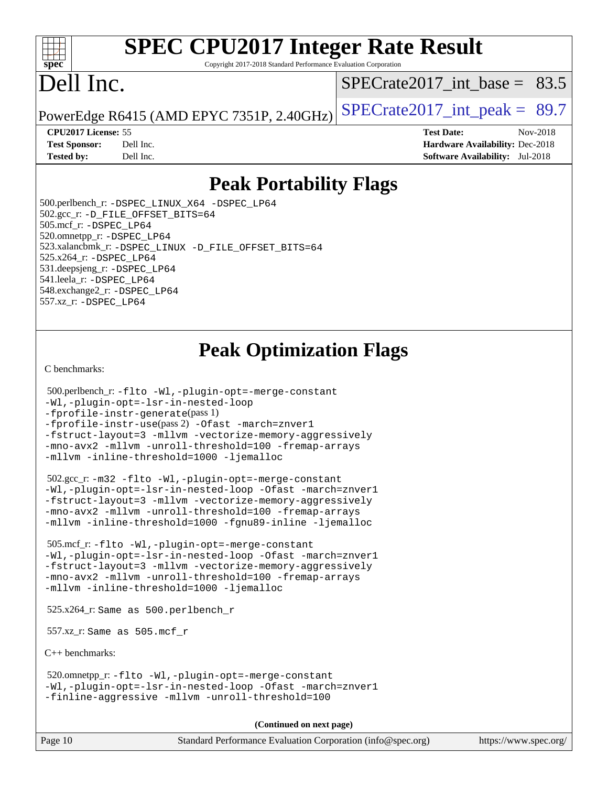#### $+\ +$ **[spec](http://www.spec.org/)**

# **[SPEC CPU2017 Integer Rate Result](http://www.spec.org/auto/cpu2017/Docs/result-fields.html#SPECCPU2017IntegerRateResult)**

Copyright 2017-2018 Standard Performance Evaluation Corporation

# Dell Inc.

[SPECrate2017\\_int\\_base =](http://www.spec.org/auto/cpu2017/Docs/result-fields.html#SPECrate2017intbase) 83.5

PowerEdge R6415 (AMD EPYC 7351P, 2.40GHz)  $\text{SPECrate}2017\_int\_peak = 89.7$ 

#### **[CPU2017 License:](http://www.spec.org/auto/cpu2017/Docs/result-fields.html#CPU2017License)** 55 **[Test Date:](http://www.spec.org/auto/cpu2017/Docs/result-fields.html#TestDate)** Nov-2018

**[Test Sponsor:](http://www.spec.org/auto/cpu2017/Docs/result-fields.html#TestSponsor)** Dell Inc. **[Hardware Availability:](http://www.spec.org/auto/cpu2017/Docs/result-fields.html#HardwareAvailability)** Dec-2018 **[Tested by:](http://www.spec.org/auto/cpu2017/Docs/result-fields.html#Testedby)** Dell Inc. **[Software Availability:](http://www.spec.org/auto/cpu2017/Docs/result-fields.html#SoftwareAvailability)** Jul-2018

## **[Peak Portability Flags](http://www.spec.org/auto/cpu2017/Docs/result-fields.html#PeakPortabilityFlags)**

 500.perlbench\_r: [-DSPEC\\_LINUX\\_X64](http://www.spec.org/cpu2017/results/res2018q4/cpu2017-20181126-09830.flags.html#b500.perlbench_r_peakPORTABILITY_DSPEC_LINUX_X64) [-DSPEC\\_LP64](http://www.spec.org/cpu2017/results/res2018q4/cpu2017-20181126-09830.flags.html#b500.perlbench_r_peakEXTRA_PORTABILITY_DSPEC_LP64) 502.gcc\_r: [-D\\_FILE\\_OFFSET\\_BITS=64](http://www.spec.org/cpu2017/results/res2018q4/cpu2017-20181126-09830.flags.html#user_peakEXTRA_PORTABILITY502_gcc_r_F-D_FILE_OFFSET_BITS_5ae949a99b284ddf4e95728d47cb0843d81b2eb0e18bdfe74bbf0f61d0b064f4bda2f10ea5eb90e1dcab0e84dbc592acfc5018bc955c18609f94ddb8d550002c) 505.mcf\_r: [-DSPEC\\_LP64](http://www.spec.org/cpu2017/results/res2018q4/cpu2017-20181126-09830.flags.html#suite_peakEXTRA_PORTABILITY505_mcf_r_DSPEC_LP64) 520.omnetpp\_r: [-DSPEC\\_LP64](http://www.spec.org/cpu2017/results/res2018q4/cpu2017-20181126-09830.flags.html#suite_peakEXTRA_PORTABILITY520_omnetpp_r_DSPEC_LP64) 523.xalancbmk\_r: [-DSPEC\\_LINUX](http://www.spec.org/cpu2017/results/res2018q4/cpu2017-20181126-09830.flags.html#b523.xalancbmk_r_peakPORTABILITY_DSPEC_LINUX) [-D\\_FILE\\_OFFSET\\_BITS=64](http://www.spec.org/cpu2017/results/res2018q4/cpu2017-20181126-09830.flags.html#user_peakEXTRA_PORTABILITY523_xalancbmk_r_F-D_FILE_OFFSET_BITS_5ae949a99b284ddf4e95728d47cb0843d81b2eb0e18bdfe74bbf0f61d0b064f4bda2f10ea5eb90e1dcab0e84dbc592acfc5018bc955c18609f94ddb8d550002c) 525.x264\_r: [-DSPEC\\_LP64](http://www.spec.org/cpu2017/results/res2018q4/cpu2017-20181126-09830.flags.html#suite_peakEXTRA_PORTABILITY525_x264_r_DSPEC_LP64) 531.deepsjeng\_r: [-DSPEC\\_LP64](http://www.spec.org/cpu2017/results/res2018q4/cpu2017-20181126-09830.flags.html#suite_peakEXTRA_PORTABILITY531_deepsjeng_r_DSPEC_LP64) 541.leela\_r: [-DSPEC\\_LP64](http://www.spec.org/cpu2017/results/res2018q4/cpu2017-20181126-09830.flags.html#suite_peakEXTRA_PORTABILITY541_leela_r_DSPEC_LP64) 548.exchange2\_r: [-DSPEC\\_LP64](http://www.spec.org/cpu2017/results/res2018q4/cpu2017-20181126-09830.flags.html#suite_peakEXTRA_PORTABILITY548_exchange2_r_DSPEC_LP64) 557.xz\_r: [-DSPEC\\_LP64](http://www.spec.org/cpu2017/results/res2018q4/cpu2017-20181126-09830.flags.html#suite_peakEXTRA_PORTABILITY557_xz_r_DSPEC_LP64)

## **[Peak Optimization Flags](http://www.spec.org/auto/cpu2017/Docs/result-fields.html#PeakOptimizationFlags)**

#### [C benchmarks](http://www.spec.org/auto/cpu2017/Docs/result-fields.html#Cbenchmarks):

```
 500.perlbench_r: -flto -Wl,-plugin-opt=-merge-constant
-Wl,-plugin-opt=-lsr-in-nested-loop
-fprofile-instr-generate(pass 1)
-fprofile-instr-use(pass 2) -Ofast -march=znver1
-fstruct-layout=3 -mllvm -vectorize-memory-aggressively
-mno-avx2 -mllvm -unroll-threshold=100 -fremap-arrays
-mllvm -inline-threshold=1000 -ljemalloc
```

```
 502.gcc_r: -m32 -flto -Wl,-plugin-opt=-merge-constant
-Wl,-plugin-opt=-lsr-in-nested-loop -Ofast -march=znver1
-fstruct-layout=3 -mllvm -vectorize-memory-aggressively
-mno-avx2 -mllvm -unroll-threshold=100 -fremap-arrays
-mllvm -inline-threshold=1000 -fgnu89-inline -ljemalloc
```
 505.mcf\_r: [-flto](http://www.spec.org/cpu2017/results/res2018q4/cpu2017-20181126-09830.flags.html#user_peakCOPTIMIZEEXTRA_LDFLAGS505_mcf_r_lto) [-Wl,-plugin-opt=-merge-constant](http://www.spec.org/cpu2017/results/res2018q4/cpu2017-20181126-09830.flags.html#user_peakEXTRA_LDFLAGS505_mcf_r_F-merge-constant_1d79771b5442061d9c8e05556c6b0c655e6c9e66f8c6936b0129d434b6acd2b1cf1b7cd2540d1570ff636111b08a6bc36e2e61fc34531f8ef7c1a34c57be1dbb) [-Wl,-plugin-opt=-lsr-in-nested-loop](http://www.spec.org/cpu2017/results/res2018q4/cpu2017-20181126-09830.flags.html#user_peakEXTRA_LDFLAGS505_mcf_r_lsr-in-nested-loop_1cff93fd95162f5e77640b5271e8bed680fb62b4a8d96fb8ab217ff3244646f1fbb342e31af83c263403bbf5249c7dc7732d5c86c3eab4cc8d32dcb7a6f33ca0) [-Ofast](http://www.spec.org/cpu2017/results/res2018q4/cpu2017-20181126-09830.flags.html#user_peakCOPTIMIZE505_mcf_r_F-aocc-Ofast) [-march=znver1](http://www.spec.org/cpu2017/results/res2018q4/cpu2017-20181126-09830.flags.html#user_peakCOPTIMIZE505_mcf_r_F-march) [-fstruct-layout=3](http://www.spec.org/cpu2017/results/res2018q4/cpu2017-20181126-09830.flags.html#user_peakCOPTIMIZE505_mcf_r_F-fstruct-layout) [-mllvm -vectorize-memory-aggressively](http://www.spec.org/cpu2017/results/res2018q4/cpu2017-20181126-09830.flags.html#user_peakCOPTIMIZE505_mcf_r_vectorize-memory-aggressively_24b72a4417f50ade9e698c5b3bed87ab456cc6fc8ec6439480cb84f36ad6a3975af6e87206dea402e3871a1464ff3d60bc798e0250f330177ba629a260df1857) [-mno-avx2](http://www.spec.org/cpu2017/results/res2018q4/cpu2017-20181126-09830.flags.html#user_peakCOPTIMIZE505_mcf_r_F-mno-avx2) [-mllvm -unroll-threshold=100](http://www.spec.org/cpu2017/results/res2018q4/cpu2017-20181126-09830.flags.html#user_peakCOPTIMIZE505_mcf_r_F-unroll-threshold_2755d0c78138845d361fa1543e3a063fffa198df9b3edf0cfb856bbc88a81e1769b12ac7a550c5d35197be55360db1a3f95a8d1304df999456cabf5120c45168) [-fremap-arrays](http://www.spec.org/cpu2017/results/res2018q4/cpu2017-20181126-09830.flags.html#user_peakCOPTIMIZE505_mcf_r_F-fremap-arrays) [-mllvm -inline-threshold=1000](http://www.spec.org/cpu2017/results/res2018q4/cpu2017-20181126-09830.flags.html#user_peakCOPTIMIZE505_mcf_r_inline-threshold_b7832241b0a6397e4ecdbaf0eb7defdc10f885c2a282fa3240fdc99844d543fda39cf8a4a9dccf68cf19b5438ac3b455264f478df15da0f4988afa40d8243bab) [-ljemalloc](http://www.spec.org/cpu2017/results/res2018q4/cpu2017-20181126-09830.flags.html#user_peakEXTRA_LIBS505_mcf_r_jemalloc-lib_d1249b907c500fa1c0672f44f562e3d0f79738ae9e3c4a9c376d49f265a04b9c99b167ecedbf6711b3085be911c67ff61f150a17b3472be731631ba4d0471706)

525.x264\_r: Same as 500.perlbench\_r

557.xz\_r: Same as 505.mcf\_r

[C++ benchmarks:](http://www.spec.org/auto/cpu2017/Docs/result-fields.html#CXXbenchmarks)

 520.omnetpp\_r: [-flto](http://www.spec.org/cpu2017/results/res2018q4/cpu2017-20181126-09830.flags.html#user_peakCXXOPTIMIZEEXTRA_LDFLAGS520_omnetpp_r_lto) [-Wl,-plugin-opt=-merge-constant](http://www.spec.org/cpu2017/results/res2018q4/cpu2017-20181126-09830.flags.html#user_peakEXTRA_LDFLAGS520_omnetpp_r_F-merge-constant_1d79771b5442061d9c8e05556c6b0c655e6c9e66f8c6936b0129d434b6acd2b1cf1b7cd2540d1570ff636111b08a6bc36e2e61fc34531f8ef7c1a34c57be1dbb) [-Wl,-plugin-opt=-lsr-in-nested-loop](http://www.spec.org/cpu2017/results/res2018q4/cpu2017-20181126-09830.flags.html#user_peakEXTRA_LDFLAGS520_omnetpp_r_lsr-in-nested-loop_1cff93fd95162f5e77640b5271e8bed680fb62b4a8d96fb8ab217ff3244646f1fbb342e31af83c263403bbf5249c7dc7732d5c86c3eab4cc8d32dcb7a6f33ca0) [-Ofast](http://www.spec.org/cpu2017/results/res2018q4/cpu2017-20181126-09830.flags.html#user_peakCXXOPTIMIZE520_omnetpp_r_F-aocc-Ofast) [-march=znver1](http://www.spec.org/cpu2017/results/res2018q4/cpu2017-20181126-09830.flags.html#user_peakCXXOPTIMIZE520_omnetpp_r_F-march) [-finline-aggressive](http://www.spec.org/cpu2017/results/res2018q4/cpu2017-20181126-09830.flags.html#user_peakCXXOPTIMIZE520_omnetpp_r_F-finline-aggressive) [-mllvm -unroll-threshold=100](http://www.spec.org/cpu2017/results/res2018q4/cpu2017-20181126-09830.flags.html#user_peakCXXOPTIMIZE520_omnetpp_r_F-unroll-threshold_2755d0c78138845d361fa1543e3a063fffa198df9b3edf0cfb856bbc88a81e1769b12ac7a550c5d35197be55360db1a3f95a8d1304df999456cabf5120c45168)

**(Continued on next page)**

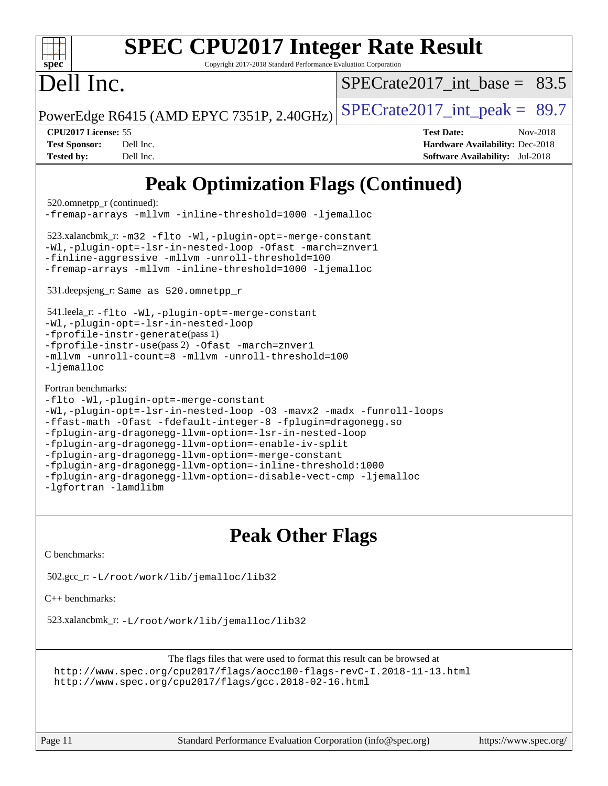| <b>SPEC CPU2017 Integer Rate Result</b><br>spec<br>Copyright 2017-2018 Standard Performance Evaluation Corporation                                                                                                                                                                                                                                                                                                                                                                                                                                                                                                                                                                                                                                                                                                                                                                                       |                                                                                                            |
|----------------------------------------------------------------------------------------------------------------------------------------------------------------------------------------------------------------------------------------------------------------------------------------------------------------------------------------------------------------------------------------------------------------------------------------------------------------------------------------------------------------------------------------------------------------------------------------------------------------------------------------------------------------------------------------------------------------------------------------------------------------------------------------------------------------------------------------------------------------------------------------------------------|------------------------------------------------------------------------------------------------------------|
| Dell Inc.                                                                                                                                                                                                                                                                                                                                                                                                                                                                                                                                                                                                                                                                                                                                                                                                                                                                                                | SPECrate2017 int base = $83.5$                                                                             |
| PowerEdge R6415 (AMD EPYC 7351P, 2.40GHz)                                                                                                                                                                                                                                                                                                                                                                                                                                                                                                                                                                                                                                                                                                                                                                                                                                                                | $SPECrate2017\_int\_peak = 89.7$                                                                           |
| CPU2017 License: 55<br><b>Test Sponsor:</b><br>Dell Inc.<br><b>Tested by:</b><br>Dell Inc.                                                                                                                                                                                                                                                                                                                                                                                                                                                                                                                                                                                                                                                                                                                                                                                                               | <b>Test Date:</b><br>Nov-2018<br>Hardware Availability: Dec-2018<br><b>Software Availability:</b> Jul-2018 |
| <b>Peak Optimization Flags (Continued)</b><br>$520$ .omnetpp r (continued):<br>-fremap-arrays -mllvm -inline-threshold=1000 -ljemalloc<br>$523.xalancbmk_r: -m32 -flto -Wl, -plugin-opt = -merge-constant$<br>-Wl,-plugin-opt=-lsr-in-nested-loop -Ofast -march=znver1<br>-finline-aggressive -mllvm -unroll-threshold=100<br>-fremap-arrays -mllvm -inline-threshold=1000 -ljemalloc<br>531.deepsjeng_r: Same as 520.omnetpp_r<br>541.leela_r: -flto -Wl,-plugin-opt=-merge-constant<br>-Wl,-plugin-opt=-lsr-in-nested-loop<br>$-$ fprofile-instr-generate(pass 1)<br>-fprofile-instr-use(pass 2) -Ofast -march=znver1<br>$-mllvm$ -unroll-count=8 -mllym -unroll-threshold=100<br>$-lj$ emalloc<br>Fortran benchmarks:<br>-flto -Wl,-plugin-opt=-merge-constant<br>-Wl,-plugin-opt=-lsr-in-nested-loop -03 -mavx2 -madx -funroll-loops<br>-ffast-math -Ofast -fdefault-integer-8 -fplugin=dragonegg.so |                                                                                                            |

```
-ffast-math -Ofast -fdefault-integer-8 -fplugin=dragonegg.so
-fplugin-arg-dragonegg-llvm-option=-lsr-in-nested-loop
-fplugin-arg-dragonegg-llvm-option=-enable-iv-split
-fplugin-arg-dragonegg-llvm-option=-merge-constant
-fplugin-arg-dragonegg-llvm-option=-inline-threshold:1000
-fplugin-arg-dragonegg-llvm-option=-disable-vect-cmp -ljemalloc
-lgfortran -lamdlibm
```
## **[Peak Other Flags](http://www.spec.org/auto/cpu2017/Docs/result-fields.html#PeakOtherFlags)**

[C benchmarks](http://www.spec.org/auto/cpu2017/Docs/result-fields.html#Cbenchmarks):

502.gcc\_r: [-L/root/work/lib/jemalloc/lib32](http://www.spec.org/cpu2017/results/res2018q4/cpu2017-20181126-09830.flags.html#user_peakEXTRA_LIBS502_gcc_r_Link_path_ed592dae44e5c1ab08e0623a53d3c5a4c6e35be404d5d0c77aec9324965777ec819518e6bc9b505d0969c714b6f83ef377306a01beedec47148c3dcded825687)

[C++ benchmarks:](http://www.spec.org/auto/cpu2017/Docs/result-fields.html#CXXbenchmarks)

523.xalancbmk\_r: [-L/root/work/lib/jemalloc/lib32](http://www.spec.org/cpu2017/results/res2018q4/cpu2017-20181126-09830.flags.html#user_peakEXTRA_LIBS523_xalancbmk_r_Link_path_ed592dae44e5c1ab08e0623a53d3c5a4c6e35be404d5d0c77aec9324965777ec819518e6bc9b505d0969c714b6f83ef377306a01beedec47148c3dcded825687)

The flags files that were used to format this result can be browsed at <http://www.spec.org/cpu2017/flags/aocc100-flags-revC-I.2018-11-13.html> <http://www.spec.org/cpu2017/flags/gcc.2018-02-16.html>